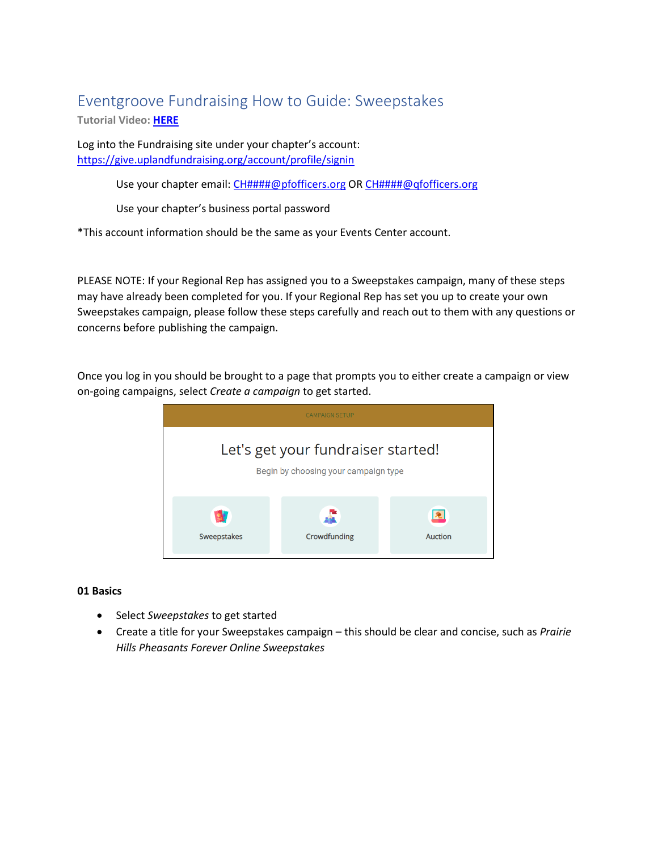# Eventgroove Fundraising How to Guide: Sweepstakes

**Tutorial Video: [HERE](https://www.youtube.com/playlist?list=PLoOX_tNUo44Ok50mTREygXc7nK3NTZcpn)**

Log into the Fundraising site under your chapter's account: <https://give.uplandfundraising.org/account/profile/signin>

Use your chapter email: [CH####@pfofficers.org](mailto:CH#) OR [CH####@qfofficers.org](mailto:CH#)

Use your chapter's business portal password

\*This account information should be the same as your Events Center account.

PLEASE NOTE: If your Regional Rep has assigned you to a Sweepstakes campaign, many of these steps may have already been completed for you. If your Regional Rep has set you up to create your own Sweepstakes campaign, please follow these steps carefully and reach out to them with any questions or concerns before publishing the campaign.

Once you log in you should be brought to a page that prompts you to either create a campaign or view on-going campaigns, select *Create a campaign* to get started.



#### **01 Basics**

- Select *Sweepstakes* to get started
- Create a title for your Sweepstakes campaign this should be clear and concise, such as *Prairie Hills Pheasants Forever Online Sweepstakes*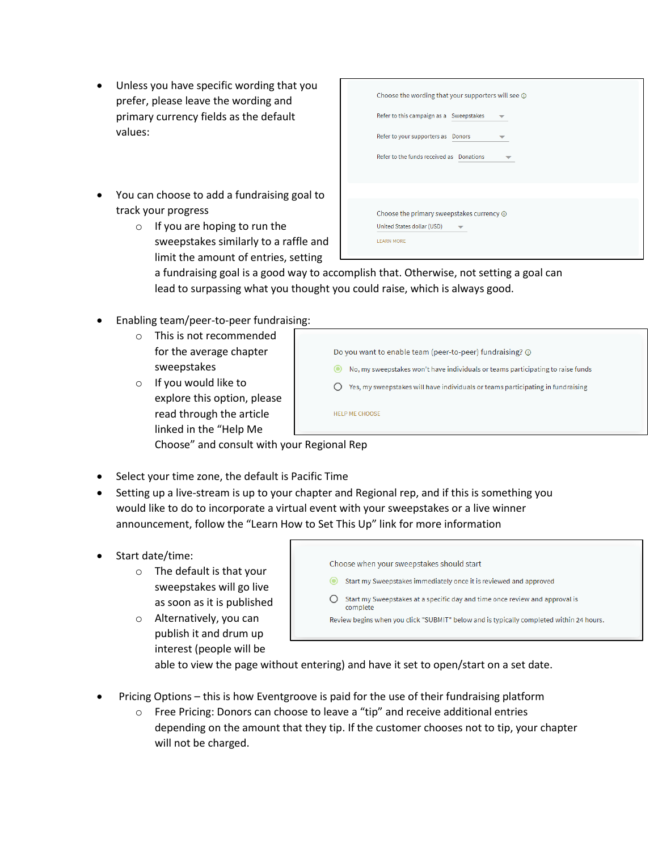- Unless you have specific wording that you prefer, please leave the wording and primary currency fields as the default values:
- You can choose to add a fundraising goal to track your progress
	- o If you are hoping to run the sweepstakes similarly to a raffle and limit the amount of entries, setting

| Choose the wording that your supporters will see $\odot$                                           |  |  |  |
|----------------------------------------------------------------------------------------------------|--|--|--|
| Refer to this campaign as a Sweepstakes                                                            |  |  |  |
| Refer to your supporters as Donors                                                                 |  |  |  |
| Refer to the funds received as Donations                                                           |  |  |  |
|                                                                                                    |  |  |  |
| Choose the primary sweepstakes currency $\odot$<br>United States dollar (USD)<br><b>LEARN MORE</b> |  |  |  |

a fundraising goal is a good way to accomplish that. Otherwise, not setting a goal can lead to surpassing what you thought you could raise, which is always good.

- Enabling team/peer-to-peer fundraising:
	- o This is not recommended for the average chapter sweepstakes
	- o If you would like to explore this option, please read through the article linked in the "Help Me

| Do you want to enable team (peer-to-peer) fundraising? ① |                                                                                 |  |  |
|----------------------------------------------------------|---------------------------------------------------------------------------------|--|--|
| О                                                        | No, my sweepstakes won't have individuals or teams participating to raise funds |  |  |
|                                                          | Yes, my sweepstakes will have individuals or teams participating in fundraising |  |  |
|                                                          | HELP ME CHOOSE                                                                  |  |  |

Choose" and consult with your Regional Rep

- Select your time zone, the default is Pacific Time
- Setting up a live-stream is up to your chapter and Regional rep, and if this is something you would like to do to incorporate a virtual event with your sweepstakes or a live winner announcement, follow the "Learn How to Set This Up" link for more information
- Start date/time:
	- o The default is that your sweepstakes will go live as soon as it is published
	- o Alternatively, you can publish it and drum up interest (people will be

| 0 | Choose when your sweepstakes should start                                               |
|---|-----------------------------------------------------------------------------------------|
|   | Start my Sweepstakes immediately once it is reviewed and approved                       |
|   | Start my Sweepstakes at a specific day and time once review and approval is<br>complete |
|   | Review begins when you click "SUBMIT" below and is typically completed within 24 hours. |

able to view the page without entering) and have it set to open/start on a set date.

- Pricing Options this is how Eventgroove is paid for the use of their fundraising platform
	- o Free Pricing: Donors can choose to leave a "tip" and receive additional entries depending on the amount that they tip. If the customer chooses not to tip, your chapter will not be charged.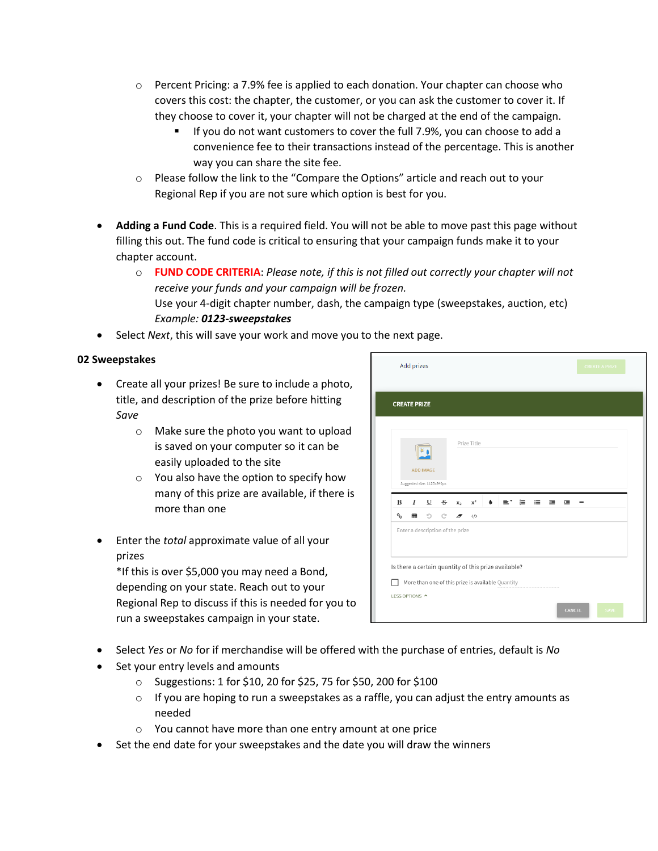- $\circ$  Percent Pricing: a 7.9% fee is applied to each donation. Your chapter can choose who covers this cost: the chapter, the customer, or you can ask the customer to cover it. If they choose to cover it, your chapter will not be charged at the end of the campaign.
	- If you do not want customers to cover the full 7.9%, you can choose to add a convenience fee to their transactions instead of the percentage. This is another way you can share the site fee.
- $\circ$  Please follow the link to the "Compare the Options" article and reach out to your Regional Rep if you are not sure which option is best for you.
- **Adding a Fund Code**. This is a required field. You will not be able to move past this page without filling this out. The fund code is critical to ensuring that your campaign funds make it to your chapter account.
	- o **FUND CODE CRITERIA**: *Please note, if this is not filled out correctly your chapter will not receive your funds and your campaign will be frozen.*  Use your 4-digit chapter number, dash, the campaign type (sweepstakes, auction, etc) *Example: 0123-sweepstakes*
- Select *Next*, this will save your work and move you to the next page.

## **02 Sweepstakes**

- Create all your prizes! Be sure to include a photo, title, and description of the prize before hitting *Save*
	- o Make sure the photo you want to upload is saved on your computer so it can be easily uploaded to the site
	- o You also have the option to specify how many of this prize are available, if there is more than one
- Enter the *total* approximate value of all your prizes

\*If this is over \$5,000 you may need a Bond, depending on your state. Reach out to your Regional Rep to discuss if this is needed for you to run a sweepstakes campaign in your state.

| <b>Add prizes</b>                                                                                     | <b>CREATE A PRIZE</b> |
|-------------------------------------------------------------------------------------------------------|-----------------------|
| <b>CREATE PRIZE</b>                                                                                   |                       |
| Prize Title<br><b>ADD IMAGE</b><br>Suggested size: 1125x840px                                         |                       |
| I<br>$\mathbf{U}$<br>$\frac{S}{C}$<br>B<br>$x^2$<br>$\bullet$<br>這<br>建工<br>x <sub>2</sub><br>≣*<br>這 | 這                     |
| ዔ<br>O<br>C<br>冊<br>$\langle$ /><br>$\overline{z}$                                                    |                       |
|                                                                                                       |                       |
| Enter a description of the prize<br>Is there a certain quantity of this prize available?              |                       |
| More than one of this prize is available Quantity<br>LESS OPTIONS ^                                   |                       |

- Select *Yes* or *No* for if merchandise will be offered with the purchase of entries, default is *No*
- Set your entry levels and amounts
	- o Suggestions: 1 for \$10, 20 for \$25, 75 for \$50, 200 for \$100
	- $\circ$  If you are hoping to run a sweepstakes as a raffle, you can adjust the entry amounts as needed
	- o You cannot have more than one entry amount at one price
- Set the end date for your sweepstakes and the date you will draw the winners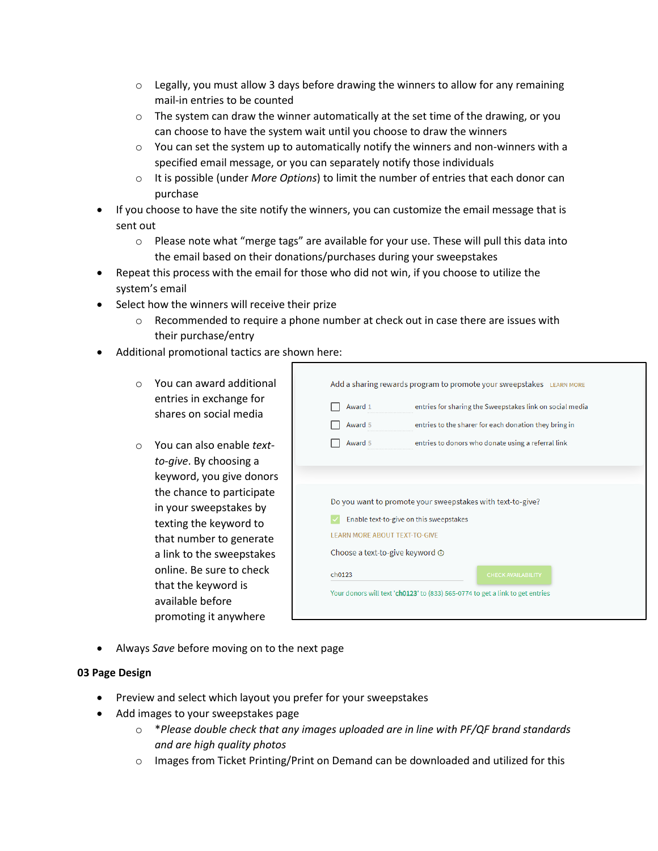- $\circ$  Legally, you must allow 3 days before drawing the winners to allow for any remaining mail-in entries to be counted
- $\circ$  The system can draw the winner automatically at the set time of the drawing, or you can choose to have the system wait until you choose to draw the winners
- $\circ$  You can set the system up to automatically notify the winners and non-winners with a specified email message, or you can separately notify those individuals
- o It is possible (under *More Options*) to limit the number of entries that each donor can purchase
- If you choose to have the site notify the winners, you can customize the email message that is sent out
	- $\circ$  Please note what "merge tags" are available for your use. These will pull this data into the email based on their donations/purchases during your sweepstakes
- Repeat this process with the email for those who did not win, if you choose to utilize the system's email
- Select how the winners will receive their prize
	- $\circ$  Recommended to require a phone number at check out in case there are issues with their purchase/entry
- Additional promotional tactics are shown here:
	- o You can award additional entries in exchange for shares on social media
	- o You can also enable *textto-give*. By choosing a keyword, you give donors the chance to participate in your sweepstakes by texting the keyword to that number to generate a link to the sweepstakes online. Be sure to check that the keyword is available before promoting it anywhere

| Award 1                                 | entries for sharing the Sweepstakes link on social media   |  |  |
|-----------------------------------------|------------------------------------------------------------|--|--|
| Award 5                                 | entries to the sharer for each donation they bring in      |  |  |
| Award 5                                 | entries to donors who donate using a referral link         |  |  |
|                                         | Do you want to promote your sweepstakes with text-to-give? |  |  |
|                                         |                                                            |  |  |
|                                         |                                                            |  |  |
| Enable text-to-give on this sweepstakes |                                                            |  |  |
|                                         |                                                            |  |  |
| <b>LEARN MORE ABOUT TEXT-TO-GIVE</b>    |                                                            |  |  |
| Choose a text-to-give keyword $\odot$   |                                                            |  |  |

• Always *Save* before moving on to the next page

#### **03 Page Design**

- Preview and select which layout you prefer for your sweepstakes
- Add images to your sweepstakes page
	- o \**Please double check that any images uploaded are in line with PF/QF brand standards and are high quality photos*
	- $\circ$  Images from Ticket Printing/Print on Demand can be downloaded and utilized for this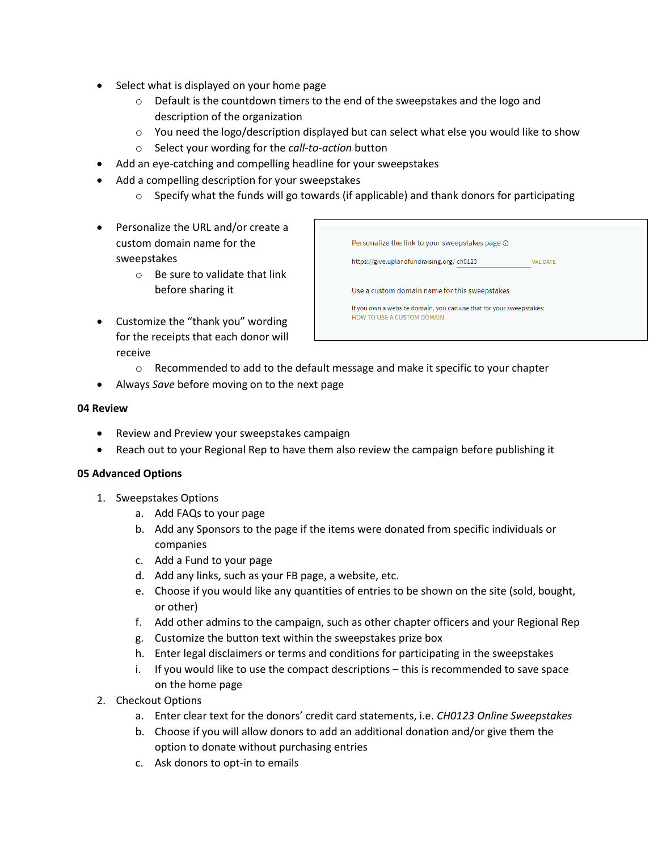- Select what is displayed on your home page
	- $\circ$  Default is the countdown timers to the end of the sweepstakes and the logo and description of the organization
	- $\circ$  You need the logo/description displayed but can select what else you would like to show
	- o Select your wording for the *call-to-action* button
- Add an eye-catching and compelling headline for your sweepstakes
- Add a compelling description for your sweepstakes
	- $\circ$  Specify what the funds will go towards (if applicable) and thank donors for participating
- Personalize the URL and/or create a custom domain name for the sweepstakes
	- o Be sure to validate that link before sharing it
- Customize the "thank you" wording for the receipts that each donor will receive

| Personalize the link to your sweepstakes page ①<br>https://give.uplandfundraising.org/ch0123                                                       | <b>VALIDATE</b> |  |  |  |  |
|----------------------------------------------------------------------------------------------------------------------------------------------------|-----------------|--|--|--|--|
| Use a custom domain name for this sweepstakes<br>If you own a website domain, you can use that for your sweepstakes:<br>HOW TO USE A CUSTOM DOMAIN |                 |  |  |  |  |

- $\circ$  Recommended to add to the default message and make it specific to your chapter
- Always *Save* before moving on to the next page

#### **04 Review**

- Review and Preview your sweepstakes campaign
- Reach out to your Regional Rep to have them also review the campaign before publishing it

#### **05 Advanced Options**

- 1. Sweepstakes Options
	- a. Add FAQs to your page
	- b. Add any Sponsors to the page if the items were donated from specific individuals or companies
	- c. Add a Fund to your page
	- d. Add any links, such as your FB page, a website, etc.
	- e. Choose if you would like any quantities of entries to be shown on the site (sold, bought, or other)
	- f. Add other admins to the campaign, such as other chapter officers and your Regional Rep
	- g. Customize the button text within the sweepstakes prize box
	- h. Enter legal disclaimers or terms and conditions for participating in the sweepstakes
	- i. If you would like to use the compact descriptions this is recommended to save space on the home page
- 2. Checkout Options
	- a. Enter clear text for the donors' credit card statements, i.e. *CH0123 Online Sweepstakes*
	- b. Choose if you will allow donors to add an additional donation and/or give them the option to donate without purchasing entries
	- c. Ask donors to opt-in to emails